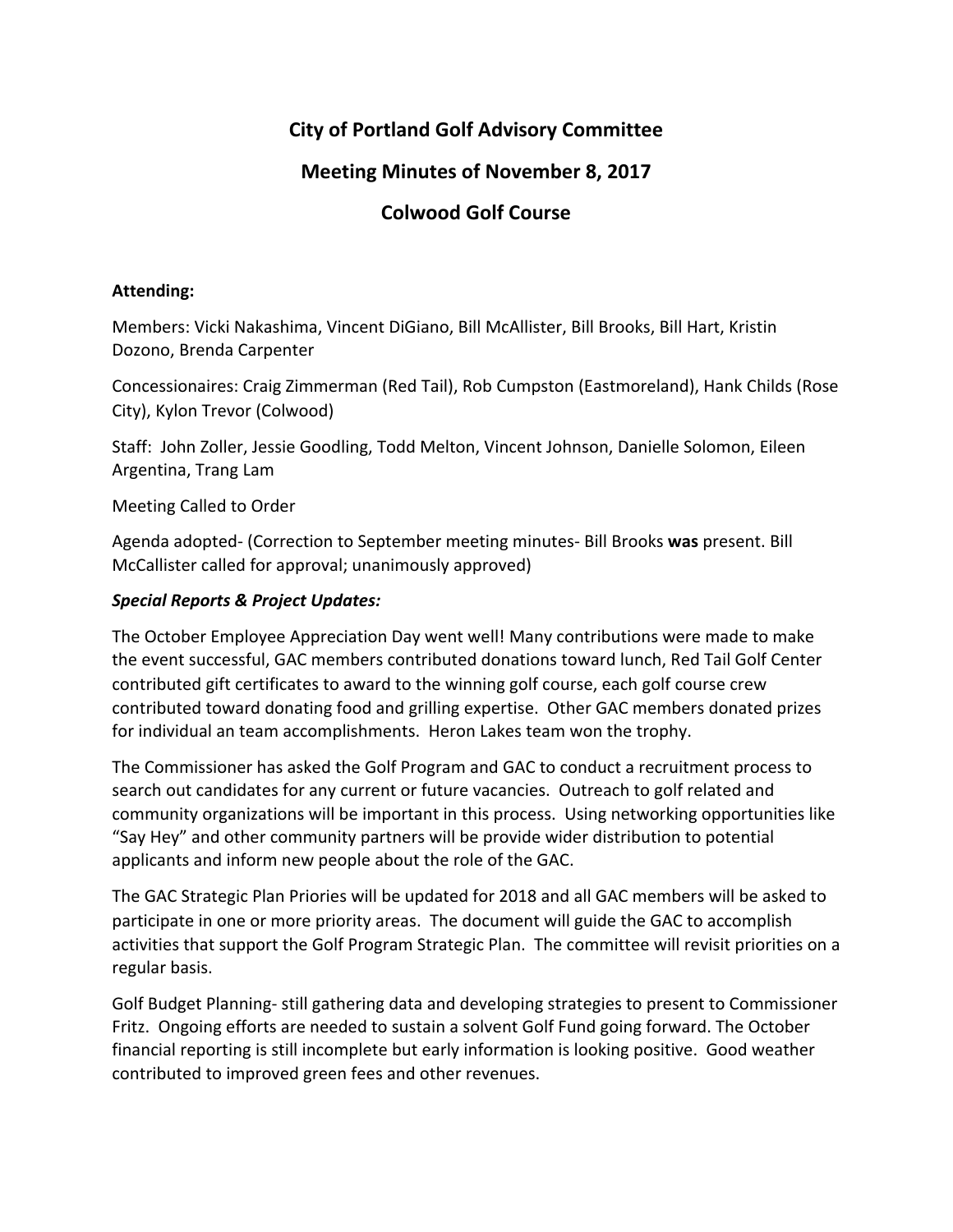# **City of Portland Golf Advisory Committee**

### **Meeting Minutes of November 8, 2017**

# **Colwood Golf Course**

### **Attending:**

Members: Vicki Nakashima, Vincent DiGiano, Bill McAllister, Bill Brooks, Bill Hart, Kristin Dozono, Brenda Carpenter

Concessionaires: Craig Zimmerman (Red Tail), Rob Cumpston (Eastmoreland), Hank Childs (Rose City), Kylon Trevor (Colwood)

Staff: John Zoller, Jessie Goodling, Todd Melton, Vincent Johnson, Danielle Solomon, Eileen Argentina, Trang Lam

Meeting Called to Order

Agenda adopted- (Correction to September meeting minutes- Bill Brooks was present. Bill McCallister called for approval; unanimously approved)

### **Special Reports & Project Updates:**

The October Employee Appreciation Day went well! Many contributions were made to make the event successful, GAC members contributed donations toward lunch, Red Tail Golf Center contributed gift certificates to award to the winning golf course, each golf course crew contributed toward donating food and grilling expertise. Other GAC members donated prizes for individual an team accomplishments. Heron Lakes team won the trophy.

The Commissioner has asked the Golf Program and GAC to conduct a recruitment process to search out candidates for any current or future vacancies. Outreach to golf related and community organizations will be important in this process. Using networking opportunities like "Say Hey" and other community partners will be provide wider distribution to potential applicants and inform new people about the role of the GAC.

The GAC Strategic Plan Priories will be updated for 2018 and all GAC members will be asked to participate in one or more priority areas. The document will guide the GAC to accomplish activities that support the Golf Program Strategic Plan. The committee will revisit priorities on a regular basis.

Golf Budget Planning- still gathering data and developing strategies to present to Commissioner Fritz. Ongoing efforts are needed to sustain a solvent Golf Fund going forward. The October financial reporting is still incomplete but early information is looking positive. Good weather contributed to improved green fees and other revenues.